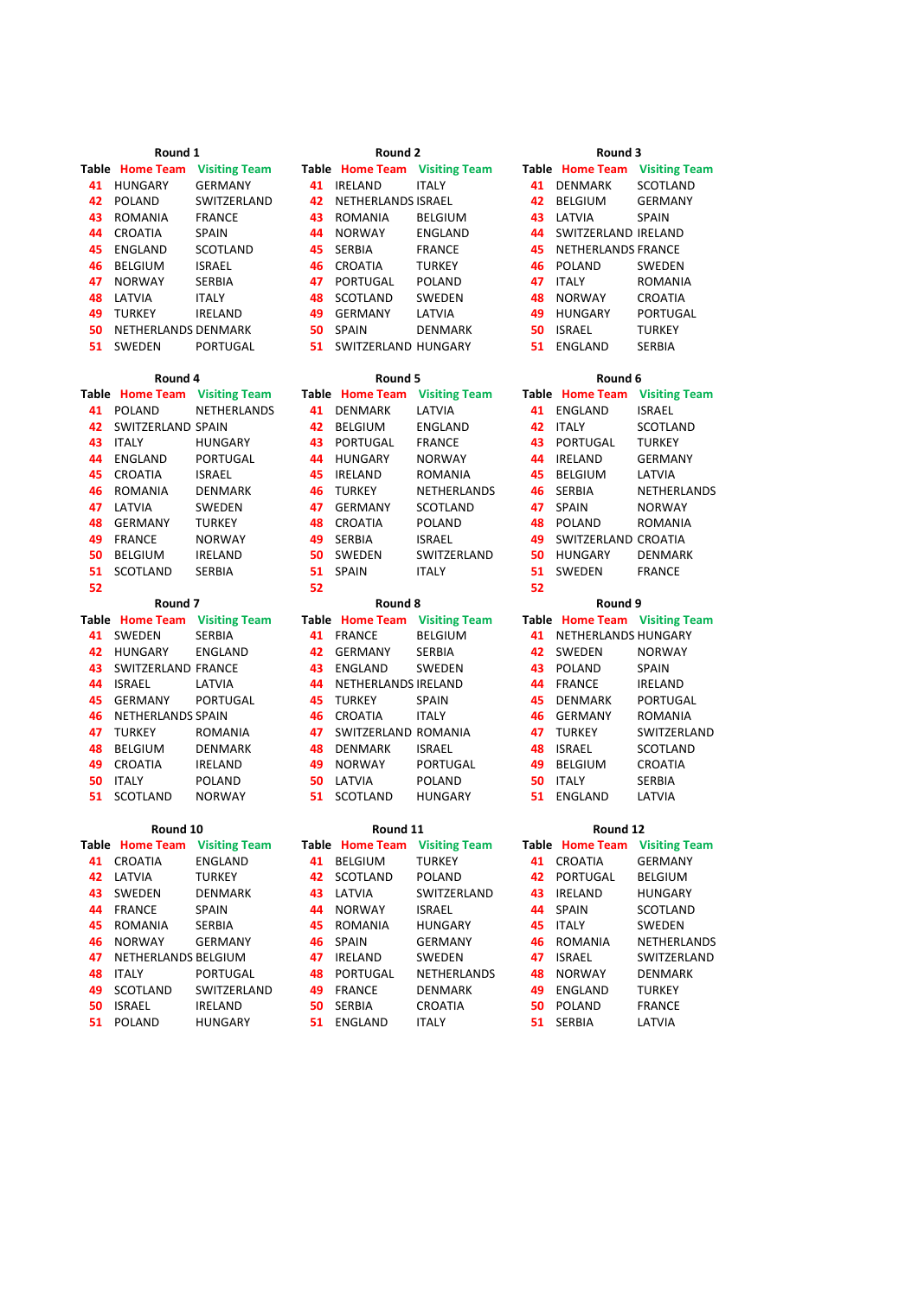|    | Round 1                          |                           |    | Round 2                           |                               |    | Round 3                       |                     |
|----|----------------------------------|---------------------------|----|-----------------------------------|-------------------------------|----|-------------------------------|---------------------|
|    | Table Home Team                  | <b>Visiting Team</b>      |    |                                   | Table Home Team Visiting Team |    | Table Home Team Visiting Team |                     |
|    | 41 HUNGARY                       | <b>GERMANY</b>            |    | 41 IRELAND                        | <b>ITALY</b>                  |    | 41 DENMARK                    | <b>SCOTLAND</b>     |
|    | 42 POLAND                        | SWITZERLAND               | 42 | NETHERLANDS ISRAEL                |                               | 42 | <b>BELGIUM</b>                | <b>GERMANY</b>      |
| 43 | <b>ROMANIA</b>                   | <b>FRANCE</b>             | 43 | ROMANIA                           | <b>BELGIUM</b>                |    | 43 LATVIA                     | <b>SPAIN</b>        |
| 44 | <b>CROATIA</b>                   | <b>SPAIN</b>              |    | 44 NORWAY                         | <b>ENGLAND</b>                |    | 44 SWITZERLAND IRELAND        |                     |
| 45 | ENGLAND                          | SCOTLAND                  |    | 45 SERBIA                         | <b>FRANCE</b>                 |    | <b>45 NETHERLANDS FRANCE</b>  |                     |
| 46 | <b>BELGIUM</b>                   | <b>ISRAEL</b>             |    | <b>46</b> CROATIA                 | <b>TURKEY</b>                 |    | 46 POLAND                     | SWEDEN              |
| 47 | <b>NORWAY</b>                    | SERBIA                    | 47 | PORTUGAL                          | POLAND                        |    | 47 ITALY                      | ROMANIA             |
|    | 48 LATVIA                        | <b>ITALY</b>              | 48 | SCOTLAND                          | SWEDEN                        |    | 48 NORWAY                     | CROATIA             |
|    | 49 TURKEY                        | <b>IRELAND</b>            |    | 49 GERMANY                        | LATVIA                        |    | 49 HUNGARY                    | PORTUGAL            |
| 50 | NETHERLANDS DENMARK              |                           | 50 | SPAIN                             | <b>DENMARK</b>                |    | 50 ISRAEL                     | <b>TURKEY</b>       |
|    | 51 SWEDEN                        | PORTUGAL                  |    | 51 SWITZERLAND HUNGARY            |                               | 51 | ENGLAND                       | SERBIA              |
|    |                                  |                           |    |                                   |                               |    |                               |                     |
|    | Round 4                          |                           |    | Round 5                           |                               |    | Round 6                       |                     |
|    | Table Home Team Visiting Team    |                           |    |                                   | Table Home Team Visiting Team |    | Table Home Team Visiting Team |                     |
|    | 41 POLAND                        | NETHERLANDS               |    | 41 DENMARK                        | LATVIA                        |    | 41 ENGLAND                    | <b>ISRAEL</b>       |
|    | 42 SWITZERLAND SPAIN             |                           | 42 | <b>BELGIUM</b>                    | <b>ENGLAND</b>                |    | 42 ITALY                      | SCOTLAND            |
|    | 43 ITALY                         | HUNGARY                   | 43 | PORTUGAL                          | <b>FRANCE</b>                 |    | 43 PORTUGAL                   | <b>TURKEY</b>       |
| 44 | ENGLAND                          | PORTUGAL                  |    | 44 HUNGARY                        | <b>NORWAY</b>                 |    | 44 IRELAND                    | <b>GERMANY</b>      |
| 45 | <b>CROATIA</b>                   | <b>ISRAEL</b>             |    | 45 IRELAND                        | ROMANIA                       |    | 45 BELGIUM                    | LATVIA              |
| 46 | ROMANIA                          | DENMARK                   |    | 46 TURKEY                         | NETHERLANDS                   |    | 46 SERBIA                     | NETHERLANDS         |
| 47 | LATVIA                           | SWEDEN                    | 47 | <b>GERMANY</b>                    | SCOTLAND                      | 47 | <b>SPAIN</b>                  | <b>NORWAY</b>       |
| 48 | <b>GERMANY</b>                   | <b>TURKEY</b>             |    | 48 CROATIA                        | <b>POLAND</b>                 | 48 | POLAND                        | ROMANIA             |
| 49 | <b>FRANCE</b>                    | <b>NORWAY</b>             | 49 | <b>SERBIA</b>                     | <b>ISRAEL</b>                 | 49 | SWITZERLAND CROATIA           |                     |
| 50 | <b>BELGIUM</b>                   | <b>IRELAND</b>            |    | 50 SWEDEN                         | SWITZERLAND                   |    | 50 HUNGARY                    | <b>DENMARK</b>      |
| 51 | <b>SCOTLAND</b>                  | SERBIA                    | 51 | SPAIN                             | <b>ITALY</b>                  |    | 51 SWEDEN                     | <b>FRANCE</b>       |
| 52 |                                  |                           | 52 |                                   |                               | 52 |                               |                     |
|    | Round 7                          |                           |    | Round 8                           |                               |    | Round 9                       |                     |
|    | Table Home Team Visiting Team    |                           |    |                                   | Table Home Team Visiting Team |    | Table Home Team Visiting Team |                     |
|    | 41 SWEDEN                        | <b>SERBIA</b>             | 41 | <b>FRANCE</b>                     | <b>BELGIUM</b>                |    | 41 NETHERLANDS HUNGARY        |                     |
|    | 42 HUNGARY                       | ENGLAND                   | 42 | GERMANY                           | SERBIA                        |    | 42 SWEDEN                     | <b>NORWAY</b>       |
|    | 43 SWITZERLAND FRANCE            |                           |    | 43 ENGLAND                        | SWEDEN                        |    | 43 POLAND                     | SPAIN               |
|    | 44 ISRAEL                        | LATVIA                    |    | 44 NETHERLANDS IRELAND            |                               |    | 44 FRANCE                     | <b>IRELAND</b>      |
| 45 | <b>GERMANY</b>                   | PORTUGAL                  | 45 | <b>TURKEY</b>                     | <b>SPAIN</b>                  |    | 45 DENMARK                    | PORTUGAL            |
| 46 | NETHERLANDS SPAIN                |                           |    | <b>46</b> CROATIA                 | <b>ITALY</b>                  |    | 46 GERMANY                    | <b>ROMANIA</b>      |
| 48 | 47 TURKEY                        | ROMANIA<br><b>DENMARK</b> | 47 | SWITZERLAND ROMANIA<br>48 DENMARK | <b>ISRAEL</b>                 |    | 47 TURKEY<br>48 ISRAEL        | SWITZERLAND         |
| 49 | <b>BELGIUM</b><br><b>CROATIA</b> | <b>IRELAND</b>            | 49 | <b>NORWAY</b>                     | PORTUGAL                      |    | 49 BELGIUM                    | SCOTLAND<br>CROATIA |
| 50 | <b>ITALY</b>                     | POLAND                    |    | 50 LATVIA                         | POLAND                        | 50 | ITALY                         | SERBIA              |
| 51 | SCOTLAND                         | <b>NORWAY</b>             | 51 | <b>SCOTLAND</b>                   | <b>HUNGARY</b>                | 51 | ENGLAND                       | LATVIA              |
|    |                                  |                           |    |                                   |                               |    |                               |                     |
|    | Round 10                         |                           |    | Round 11                          |                               |    | Round 12                      |                     |
|    | Table Home Team Visiting Team    |                           |    |                                   | Table Home Team Visiting Team |    | Table Home Team Visiting Team |                     |
|    | 41 CROATIA                       | ENGLAND                   |    | 41 BELGIUM                        | <b>TURKEY</b>                 |    | 41 CROATIA                    | <b>GERMANY</b>      |
|    | 42 LATVIA                        | <b>TURKEY</b>             |    | 42 SCOTLAND                       | <b>POLAND</b>                 |    | 42 PORTUGAL                   | BELGIUM             |
|    | 43 SWEDEN                        | DENMARK                   |    | 43 LATVIA                         | SWITZERLAND                   |    | 43 IRELAND                    | HUNGARY             |
|    | 44 FRANCE                        | SPAIN                     |    | 44 NORWAY                         | ISRAEL                        |    | 44 SPAIN                      | SCOTLAND            |
|    | 45 ROMANIA                       | SERBIA                    |    | 45 ROMANIA                        | <b>HUNGARY</b>                |    | 45 ITALY                      | SWEDEN              |
| 46 | <b>NORWAY</b>                    | GERMANY                   |    | 46 SPAIN                          | GERMANY                       |    | 46 ROMANIA                    | NETHERLANDS         |
| 47 | NETHERLANDS BELGIUM              |                           |    | 47 IRELAND                        | SWEDEN                        |    | 47 ISRAEL                     | SWITZERLAND         |
|    | 48 ITALY                         | PORTUGAL                  |    | 48 PORTUGAL                       | NETHERLANDS                   |    | 48 NORWAY                     | <b>DENMARK</b>      |
|    | 49 SCOTI AND                     | SWITZERI AND              |    | 49 FRANCE                         | <b>DENMARK</b>                |    | 49 FNGLAND                    | <b>TURKEY</b>       |

|    | Round 2                       |                      |    | Round 3                |                        |
|----|-------------------------------|----------------------|----|------------------------|------------------------|
|    | Table Home Team Visiting Team |                      |    | Table Home Team V      |                        |
| 41 | <b>IRELAND</b>                | <b>ITALY</b>         | 41 | <b>DENMARK</b>         | SC                     |
| 42 | NETHERLANDS ISRAEL            |                      | 42 | <b>BELGIUM</b>         | GI                     |
| 43 | <b>ROMANIA</b>                | <b>BELGIUM</b>       | 43 | LATVIA                 | SF                     |
| 44 | <b>NORWAY</b>                 | <b>ENGLAND</b>       | 44 | <b>SWITZERLAND IR</b>  |                        |
| 45 | <b>SERBIA</b>                 | <b>FRANCE</b>        | 45 | <b>NETHERLANDS FF</b>  |                        |
| 46 | CROATIA                       | <b>TURKEY</b>        | 46 | <b>POLAND</b>          | S١                     |
| 47 | PORTUGAL                      | <b>POLAND</b>        | 47 | <b>ITALY</b>           | R <sub>C</sub>         |
| 48 | <b>SCOTLAND</b>               | <b>SWEDEN</b>        | 48 | <b>NORWAY</b>          | <b>CF</b>              |
| 49 | <b>GERMANY</b>                | LATVIA               | 49 | <b>HUNGARY</b>         | P(                     |
| 50 | <b>SPAIN</b>                  | <b>DENMARK</b>       | 50 | <b>ISRAEL</b>          | Τl                     |
| 51 | SWITZERLAND HUNGARY           |                      | 51 | ENGLAND                | SE                     |
|    | Round 5                       |                      |    | Round 6                |                        |
|    | <b>Table</b> Home Team        | <b>Visiting Team</b> |    | <b>Table Home Team</b> | $\mathbf v$            |
| 41 | <b>DENMARK</b>                | LATVIA               | 41 | <b>ENGLAND</b>         | IS                     |
| 42 | <b>BELGIUM</b>                | <b>ENGLAND</b>       | 42 | <b>ITALY</b>           | SC                     |
| 43 | PORTUGAL                      | <b>FRANCE</b>        | 43 | <b>PORTUGAL</b>        | Tι                     |
| 44 | <b>HUNGARY</b>                | <b>NORWAY</b>        | 44 | <b>IRELAND</b>         | GI                     |
| 45 | <b>IRELAND</b>                | <b>ROMANIA</b>       | 45 | <b>BELGIUM</b>         | LA                     |
| 46 | <b>TURKEY</b>                 | <b>NETHERLANDS</b>   | 46 | <b>SERBIA</b>          | N <sub>1</sub>         |
| 47 | <b>GERMANY</b>                | <b>SCOTLAND</b>      | 47 | SPAIN                  | N <sub>0</sub>         |
| 48 | CROATIA                       | <b>POLAND</b>        | 48 | <b>POLAND</b>          | R <sub>(</sub>         |
| 49 | <b>SERBIA</b>                 | <b>ISRAEL</b>        | 49 | SWITZERLAND CF         |                        |
| 50 | <b>SWEDEN</b>                 | SWITZERLAND          | 50 | <b>HUNGARY</b>         | DI                     |
| 51 | SPAIN                         | <b>ITALY</b>         | 51 | <b>SWEDEN</b>          | FF                     |
| 52 |                               |                      | 52 |                        |                        |
|    | Round 8                       |                      |    | Round 9                |                        |
|    | Table Home Team Visiting Team |                      |    | Table Home Team V      |                        |
| 41 | <b>FRANCE</b>                 | <b>BELGIUM</b>       | 41 | <b>NETHERLANDS HI</b>  |                        |
| 42 | <b>GERMANY</b>                | <b>SERBIA</b>        | 42 | <b>SWEDEN</b>          | N <sub>0</sub>         |
| 43 | <b>ENGLAND</b>                | <b>SWEDEN</b>        | 43 | <b>POLAND</b>          | SF                     |
| 44 | NETHERLANDS IRELAND           |                      | 44 | <b>FRANCE</b>          | IR                     |
| 45 | <b>TURKEY</b>                 | <b>SPAIN</b>         | 45 | DENMARK                | P <sub>(</sub>         |
| 46 | <b>CROATIA</b>                | <b>ITALY</b>         | 46 | <b>GERMANY</b>         | R <sub>C</sub>         |
| 47 | SWITZERLAND ROMANIA           |                      | 47 | <b>TURKEY</b>          | S١                     |
| 48 | <b>DENMARK</b>                | <b>ISRAEL</b>        | 48 | <b>ISRAEL</b>          | SC                     |
| 49 | <b>NORWAY</b>                 | <b>PORTUGAL</b>      | 49 | <b>BELGIUM</b>         | <b>CF</b><br><b>SE</b> |
|    | 50 LATVIA                     | POLAND               |    | 50 ITALY               |                        |

| Round 10 |                        |                              | Round 11 |               |                               | Round 12 |                                 |                |
|----------|------------------------|------------------------------|----------|---------------|-------------------------------|----------|---------------------------------|----------------|
|          |                        | able Home Team Visiting Team |          |               | Table Home Team Visiting Team |          | <b>Table Home Team Visiting</b> |                |
|          | 41 CROATIA             | ENGLAND                      | 41       | BELGIUM       | <b>TURKEY</b>                 | 41       | CROATIA                         | <b>GERMA</b>   |
|          | 42 LATVIA              | <b>TURKEY</b>                |          | 42 SCOTLAND   | POLAND                        | 42       | PORTUGAL                        | <b>BELGIUI</b> |
|          | 43 SWEDEN              | <b>DENMARK</b>               |          | 43 LATVIA     | SWITZERLAND                   | 43       | IRELAND                         | <b>HUNGA</b>   |
| 44       | FRANCE                 | <b>SPAIN</b>                 | 44       | <b>NORWAY</b> | <b>ISRAEL</b>                 | 44       | SPAIN                           | <b>SCOTLA</b>  |
| 45       | ROMANIA                | <b>SERBIA</b>                | 45       | ROMANIA       | <b>HUNGARY</b>                | 45       | ITALY                           | SWEDEI         |
| 46       | <b>NORWAY</b>          | <b>GERMANY</b>               |          | 46 SPAIN      | <b>GERMANY</b>                |          | 46 ROMANIA                      | <b>NETHER</b>  |
|          | 47 NETHERLANDS BELGIUM |                              | 47       | IRELAND       | <b>SWEDEN</b>                 | 47       | <b>ISRAEL</b>                   | <b>SWITZEI</b> |
| 48       | <b>ITALY</b>           | PORTUGAL                     |          | 48 PORTUGAL   | <b>NETHERLANDS</b>            | 48       | <b>NORWAY</b>                   | <b>DENMA</b>   |
| 49       | SCOTLAND               | SWITZERLAND                  | 49       | FRANCE        | <b>DENMARK</b>                | 49       | ENGLAND                         | <b>TURKEY</b>  |
|          | 50 ISRAEL              | <b>IRELAND</b>               |          | 50 SERBIA     | CROATIA                       | 50.      | POLAND                          | <b>FRANCE</b>  |
|          | 51 POLAND              | <b>HUNGARY</b>               |          | 51 ENGLAND    | <b>ITALY</b>                  | 51.      | SERBIA                          | LATVIA         |
|          |                        |                              |          |               |                               |          |                                 |                |

|    | <b>Table</b> Home Team | <b>Visiting Tear</b> |
|----|------------------------|----------------------|
| 41 | DFNMARK                | <b>SCOTLAND</b>      |
| 42 | BELGIUM                | <b>GERMANY</b>       |
| 43 | I ATVIA                | <b>SPAIN</b>         |
| 44 | SWITZERLAND IRFLAND    |                      |
| 45 | NETHERLANDS FRANCE     |                      |
| 46 | POLAND                 | SWFDFN               |
| 47 | ITAI Y                 | ROMANIA              |
| 48 | <b>NORWAY</b>          | CROATIA              |
| 49 | HUNGARY                | PORTUGAL             |
| 50 | ISRAFI                 | <b>TURKEY</b>        |
| 51 | <b>FNGI AND</b>        | <b>SFRBIA</b>        |
|    |                        |                      |

| Round 6 |                        |                      |  |  |  |  |  |
|---------|------------------------|----------------------|--|--|--|--|--|
|         | <b>Table</b> Home Team | <b>Visiting Team</b> |  |  |  |  |  |
| 41.     | FNGI AND               | ISRAFI               |  |  |  |  |  |
| 42      | <b>ITALY</b>           | SCOTLAND             |  |  |  |  |  |
| 43      | PORTUGAL               | <b>TURKFY</b>        |  |  |  |  |  |
| 44      | IRFI AND               | GFRMANY              |  |  |  |  |  |
| 45      | BELGIUM                | I ATVIA              |  |  |  |  |  |
| 46      | <b>SFRBIA</b>          | <b>NFTHERIANDS</b>   |  |  |  |  |  |
| 47      | <b>SPAIN</b>           | NORWAY               |  |  |  |  |  |
| 48      | POLAND                 | ROMANIA              |  |  |  |  |  |
| 49      | SWITZERI AND CROATIA   |                      |  |  |  |  |  |
| 50      | HUNGARY                | DFNMARK              |  |  |  |  |  |
| 51      | <b>SWFDFN</b>          | <b>FRANCF</b>        |  |  |  |  |  |
| 52      |                        |                      |  |  |  |  |  |

# **Round 9**

| $\frac{1}{2}$ |                     |
|---------------|---------------------|
|               |                     |
| <b>SWEDEN</b> | NORWAY              |
| POLAND        | <b>SPAIN</b>        |
| <b>FRANCE</b> | IRELAND             |
| DENMARK       | PORTUGAL            |
| GERMANY       | ROMANIA             |
| <b>TURKEY</b> | SWITZERLAND         |
| <b>ISRAEL</b> | <b>SCOTLAND</b>     |
| BELGIUM       | CROATIA             |
| <b>ITALY</b>  | <b>SERBIA</b>       |
| ENGLAND       | LATVIA              |
|               | NETHERLANDS HUNGARY |

# **Round 12**

|    | Table Home Team | <b>Visiting Team</b> |
|----|-----------------|----------------------|
| 41 | <b>CROATIA</b>  | <b>GERMANY</b>       |
| 42 | PORTUGAL        | <b>BELGIUM</b>       |
| 43 | IRELAND         | <b>HUNGARY</b>       |
| 44 | <b>SPAIN</b>    | SCOTLAND             |
| 45 | <b>ITALY</b>    | <b>SWEDEN</b>        |
| 46 | <b>ROMANIA</b>  | NETHERLANDS          |
| 47 | ISRAEL          | SWITZERLAND          |
| 48 | <b>NORWAY</b>   | <b>DENMARK</b>       |
| 49 | ENGLAND         | <b>TURKEY</b>        |
| 50 | POLAND          | <b>FRANCE</b>        |
| 51 | <b>SFRRIA</b>   | I ATVIA              |